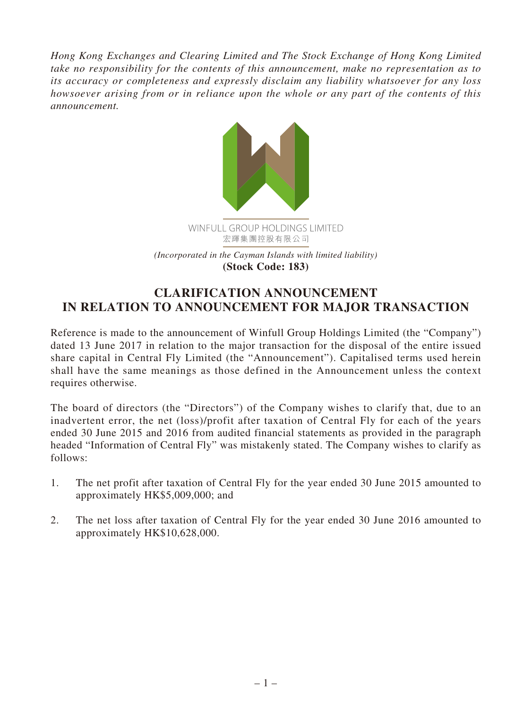*Hong Kong Exchanges and Clearing Limited and The Stock Exchange of Hong Kong Limited take no responsibility for the contents of this announcement, make no representation as to its accuracy or completeness and expressly disclaim any liability whatsoever for any loss howsoever arising from or in reliance upon the whole or any part of the contents of this announcement.*



## **CLARIFICATION ANNOUNCEMENT IN RELATION TO ANNOUNCEMENT FOR MAJOR TRANSACTION**

Reference is made to the announcement of Winfull Group Holdings Limited (the "Company") dated 13 June 2017 in relation to the major transaction for the disposal of the entire issued share capital in Central Fly Limited (the "Announcement"). Capitalised terms used herein shall have the same meanings as those defined in the Announcement unless the context requires otherwise.

The board of directors (the "Directors") of the Company wishes to clarify that, due to an inadvertent error, the net (loss)/profit after taxation of Central Fly for each of the years ended 30 June 2015 and 2016 from audited financial statements as provided in the paragraph headed "Information of Central Fly" was mistakenly stated. The Company wishes to clarify as follows:

- 1. The net profit after taxation of Central Fly for the year ended 30 June 2015 amounted to approximately HK\$5,009,000; and
- 2. The net loss after taxation of Central Fly for the year ended 30 June 2016 amounted to approximately HK\$10,628,000.